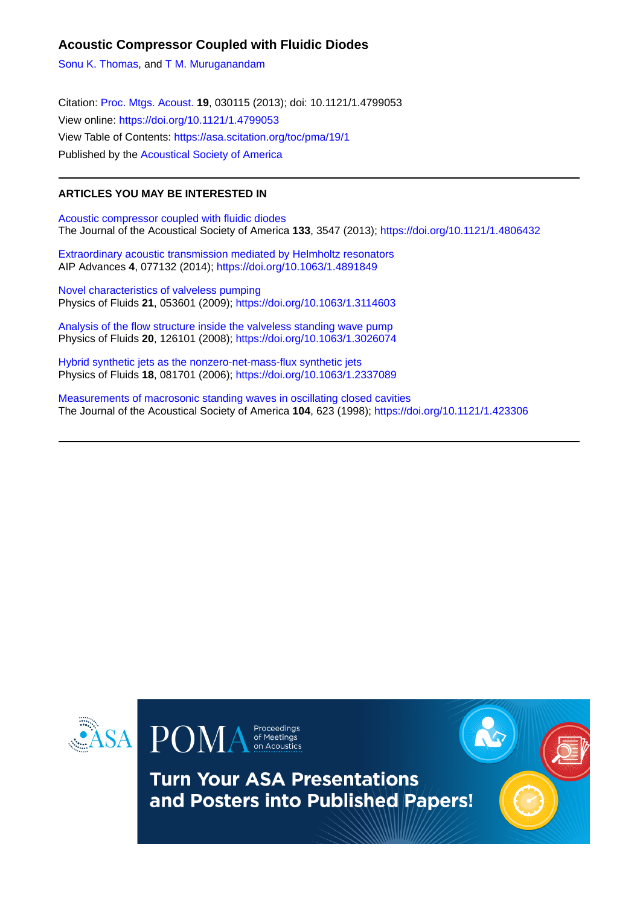### **Acoustic Compressor Coupled with Fluidic Diodes**

[Sonu K. Thomas,](https://asa.scitation.org/author/Thomas%2C+Sonu+K) and [T M. Muruganandam](https://asa.scitation.org/author/Muruganandam%2C+T+M)

Citation: [Proc. Mtgs. Acoust.](/loi/pma) **19**, 030115 (2013); doi: 10.1121/1.4799053 View online: <https://doi.org/10.1121/1.4799053> View Table of Contents: <https://asa.scitation.org/toc/pma/19/1> Published by the [Acoustical Society of America](https://asa.scitation.org/publisher/)

#### **ARTICLES YOU MAY BE INTERESTED IN**

[Acoustic compressor coupled with fluidic diodes](https://asa.scitation.org/doi/10.1121/1.4806432) The Journal of the Acoustical Society of America **133**, 3547 (2013); <https://doi.org/10.1121/1.4806432>

[Extraordinary acoustic transmission mediated by Helmholtz resonators](https://asa.scitation.org/doi/10.1063/1.4891849) AIP Advances **4**, 077132 (2014);<https://doi.org/10.1063/1.4891849>

[Novel characteristics of valveless pumping](https://asa.scitation.org/doi/10.1063/1.3114603) Physics of Fluids **21**, 053601 (2009);<https://doi.org/10.1063/1.3114603>

[Analysis of the flow structure inside the valveless standing wave pump](https://asa.scitation.org/doi/10.1063/1.3026074) Physics of Fluids **20**, 126101 (2008);<https://doi.org/10.1063/1.3026074>

[Hybrid synthetic jets as the nonzero-net-mass-flux synthetic jets](https://asa.scitation.org/doi/10.1063/1.2337089) Physics of Fluids **18**, 081701 (2006);<https://doi.org/10.1063/1.2337089>

[Measurements of macrosonic standing waves in oscillating closed cavities](https://asa.scitation.org/doi/10.1121/1.423306) The Journal of the Acoustical Society of America **104**, 623 (1998);<https://doi.org/10.1121/1.423306>





**Turn Your ASA Presentations** and Posters into Published Papers!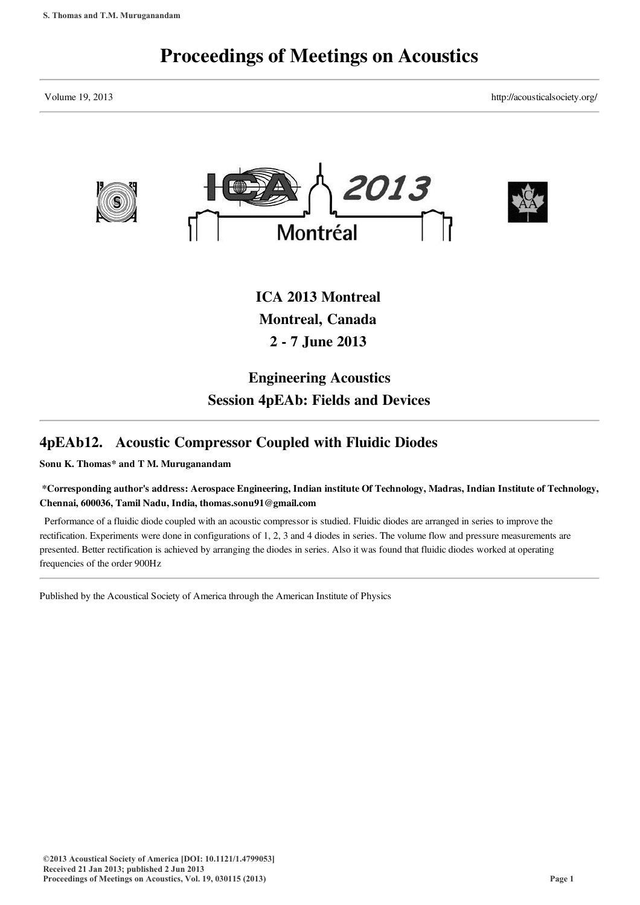# Proceedings of Meetings on Acoustics

Volume 19, 2013 http://acousticalsociety.org/



Montreal, Canada 2 - 7 June 2013

## Engineering Acoustics Session 4pEAb: Fields and Devices

## 4pEAb12. Acoustic Compressor Coupled with Fluidic Diodes

Sonu K. Thomas\* and T M. Muruganandam

#### \*Corresponding author's address: Aerospace Engineering, Indian institute Of Technology, Madras, Indian Institute of Technology, Chennai, 600036, Tamil Nadu, India, thomas.sonu91@gmail.com

Performance of a fluidic diode coupled with an acoustic compressor is studied. Fluidic diodes are arranged in series to improve the rectification. Experiments were done in configurations of 1, 2, 3 and 4 diodes in series. The volume flow and pressure measurements are presented. Better rectification is achieved by arranging the diodes in series. Also it was found that fluidic diodes worked at operating frequencies of the order 900Hz

Published by the Acoustical Society of America through the American Institute of Physics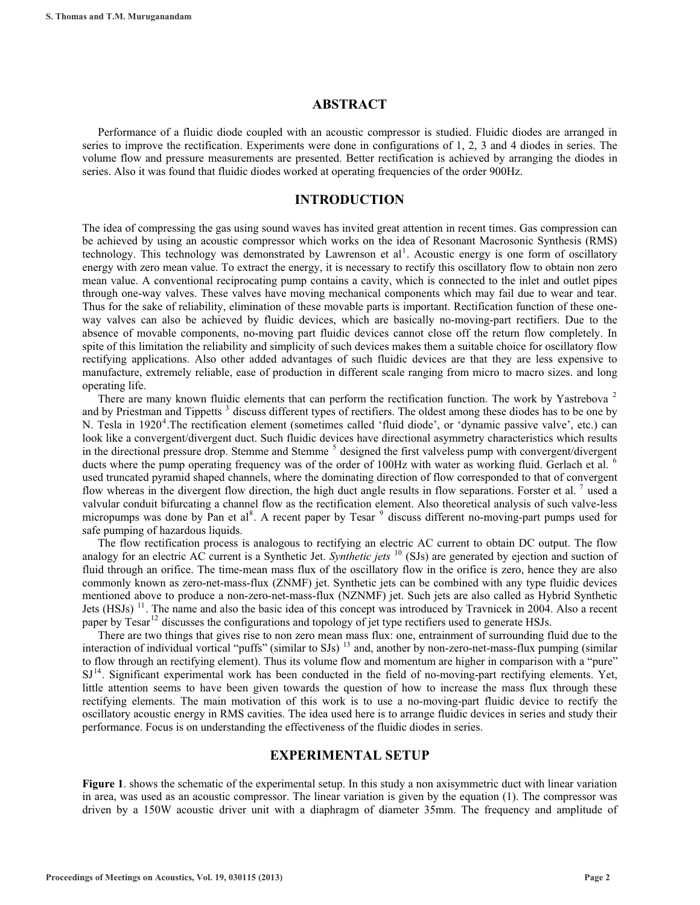#### **ABSTRACT**

Performance of a fluidic diode coupled with an acoustic compressor is studied. Fluidic diodes are arranged in series to improve the rectification. Experiments were done in configurations of 1, 2, 3 and 4 diodes in series. The volume flow and pressure measurements are presented. Better rectification is achieved by arranging the diodes in series. Also it was found that fluidic diodes worked at operating frequencies of the order 900Hz.

#### **INTRODUCTION**

The idea of compressing the gas using sound waves has invited great attention in recent times. Gas compression can be achieved by using an acoustic compressor which works on the idea of Resonant Macrosonic Synthesis (RMS) technology. This technology was demonstrated by Lawrenson et al<sup>1</sup>. Acoustic energy is one form of oscillatory energy with zero mean value. To extract the energy, it is necessary to rectify this oscillatory flow to obtain non zero mean value. A conventional reciprocating pump contains a cavity, which is connected to the inlet and outlet pipes through one-way valves. These valves have moving mechanical components which may fail due to wear and tear. Thus for the sake of reliability, elimination of these movable parts is important. Rectification function of these oneway valves can also be achieved by fluidic devices, which are basically no-moving-part rectifiers. Due to the absence of movable components, no-moving part fluidic devices cannot close off the return flow completely. In spite of this limitation the reliability and simplicity of such devices makes them a suitable choice for oscillatory flow rectifying applications. Also other added advantages of such fluidic devices are that they are less expensive to manufacture, extremely reliable, ease of production in different scale ranging from micro to macro sizes. and long operating life.

There are many known fluidic elements that can perform the rectification function. The work by Yastrebova<sup>2</sup> and by Priestman and Tippetts<sup>3</sup> discuss different types of rectifiers. The oldest among these diodes has to be one by N. Tesla in 1920<sup>4</sup>. The rectification element (sometimes called 'fluid diode', or 'dynamic passive valve', etc.) can look like a convergent/divergent duct. Such fluidic devices have directional asymmetry characteristics which results in the directional pressure drop. Stemme and Stemme<sup>5</sup> designed the first valveless pump with convergent/divergent ducts where the pump operating frequency was of the order of 100Hz with water as working fluid. Gerlach et al. <sup>6</sup> used truncated pyramid shaped channels, where the dominating direction of flow corresponded to that of convergent flow whereas in the divergent flow direction, the high duct angle results in flow separations. Forster et al.  $7$  used a valvular conduit bifurcating a channel flow as the rectification element. Also theoretical analysis of such valve-less micropumps was done by Pan et al<sup>8</sup>. A recent paper by Tesar <sup>9</sup> discuss different no-moving-part pumps used for safe pumping of hazardous liquids.

The flow rectification process is analogous to rectifying an electric AC current to obtain DC output. The flow analogy for an electric AC current is a Synthetic Jet. *Synthetic jets* <sup>10</sup> (SJs) are generated by ejection and suction of fluid through an orifice. The time-mean mass flux of the oscillatory flow in the orifice is zero, hence they are also commonly known as zero-net-mass-flux (ZNMF) jet. Synthetic jets can be combined with any type fluidic devices mentioned above to produce a non-zero-net-mass-flux (NZNMF) jet. Such jets are also called as Hybrid Synthetic Jets (HSJs)<sup>11</sup>. The name and also the basic idea of this concept was introduced by Travnicek in 2004. Also a recent paper by Tesar<sup>12</sup> discusses the configurations and topology of jet type rectifiers used to generate HSJs.

There are two things that gives rise to non zero mean mass flux: one, entrainment of surrounding fluid due to the interaction of individual vortical "puffs" (similar to SJs)<sup>13</sup> and, another by non-zero-net-mass-flux pumping (similar to flow through an rectifying element). Thus its volume flow and momentum are higher in comparison with a "pure"  $SI<sup>14</sup>$ . Significant experimental work has been conducted in the field of no-moving-part rectifying elements. Yet, little attention seems to have been given towards the question of how to increase the mass flux through these rectifying elements. The main motivation of this work is to use a no-moving-part fluidic device to rectify the oscillatory acoustic energy in RMS cavities. The idea used here is to arrange fluidic devices in series and study their performance. Focus is on understanding the effectiveness of the fluidic diodes in series.

#### **EXPERIMENTAL SETUP**

**Figure 1**. shows the schematic of the experimental setup. In this study a non axisymmetric duct with linear variation in area, was used as an acoustic compressor. The linear variation is given by the equation (1). The compressor was driven by a 150W acoustic driver unit with a diaphragm of diameter 35mm. The frequency and amplitude of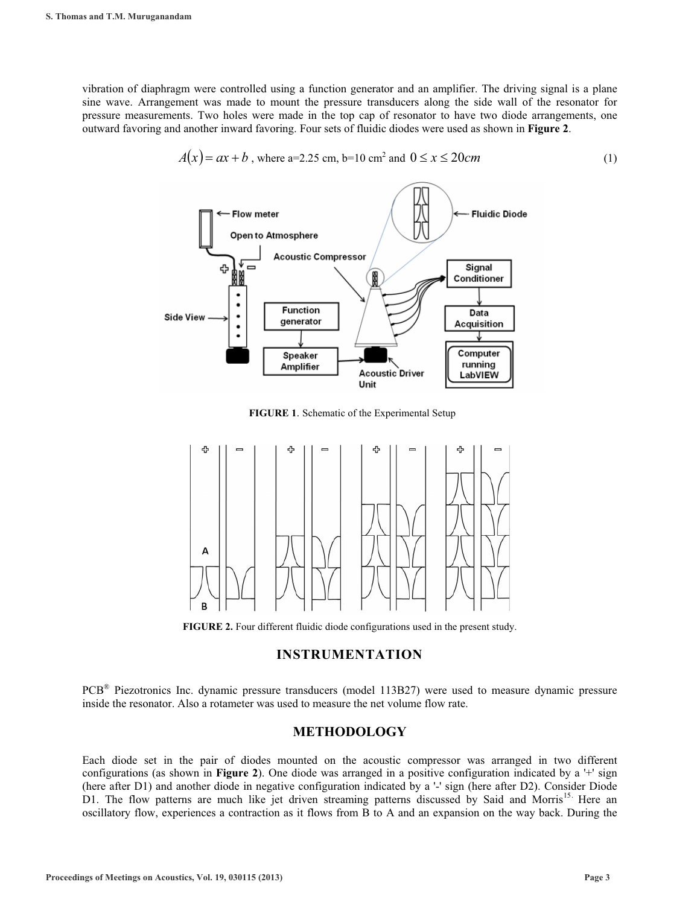vibration of diaphragm were controlled using a function generator and an amplifier. The driving signal is a plane sine wave. Arrangement was made to mount the pressure transducers along the side wall of the resonator for pressure measurements. Two holes were made in the top cap of resonator to have two diode arrangements, one outward favoring and another inward favoring. Four sets of fluidic diodes were used as shown in **Figure 2**.



$$
A(x) = ax + b
$$
, where a=2.25 cm, b=10 cm<sup>2</sup> and 0 \le x \le 20 cm (1)

**FIGURE 1**. Schematic of the Experimental Setup



**FIGURE 2.** Four different fluidic diode configurations used in the present study.

#### **INSTRUMENTATION**

PCB® Piezotronics Inc. dynamic pressure transducers (model 113B27) were used to measure dynamic pressure inside the resonator. Also a rotameter was used to measure the net volume flow rate.

#### **METHODOLOGY**

Each diode set in the pair of diodes mounted on the acoustic compressor was arranged in two different configurations (as shown in **Figure 2**). One diode was arranged in a positive configuration indicated by a '+' sign (here after D1) and another diode in negative configuration indicated by a '-' sign (here after D2). Consider Diode D1. The flow patterns are much like jet driven streaming patterns discussed by Said and Morris<sup>15.</sup> Here an oscillatory flow, experiences a contraction as it flows from B to A and an expansion on the way back. During the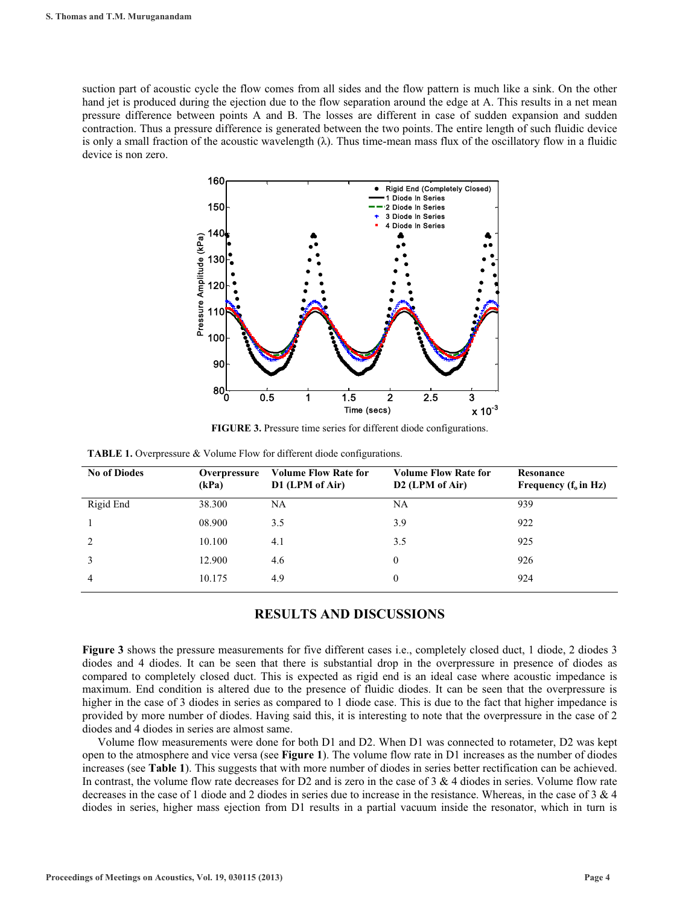suction part of acoustic cycle the flow comes from all sides and the flow pattern is much like a sink. On the other hand jet is produced during the ejection due to the flow separation around the edge at A. This results in a net mean pressure difference between points A and B. The losses are different in case of sudden expansion and sudden contraction. Thus a pressure difference is generated between the two points. The entire length of such fluidic device is only a small fraction of the acoustic wavelength  $(\lambda)$ . Thus time-mean mass flux of the oscillatory flow in a fluidic device is non zero.



**FIGURE 3.** Pressure time series for different diode configurations.

| <b>No of Diodes</b> | Overpressure<br>(kPa) | <b>Volume Flow Rate for</b><br>D1 (LPM of Air) | <b>Volume Flow Rate for</b><br>D <sub>2</sub> (LPM of Air) | Resonance<br>Frequency $(f_0$ in Hz) |
|---------------------|-----------------------|------------------------------------------------|------------------------------------------------------------|--------------------------------------|
| Rigid End           | 38.300                | NA                                             | NA                                                         | 939                                  |
|                     | 08.900                | 3.5                                            | 3.9                                                        | 922                                  |
|                     | 10.100                | 4.1                                            | 3.5                                                        | 925                                  |
|                     | 12.900                | 4.6                                            | $\bf{0}$                                                   | 926                                  |
| 4                   | 10.175                | 4.9                                            | $\theta$                                                   | 924                                  |

| <b>TABLE 1.</b> Overpressure & Volume Flow for different diode configurations. |  |  |  |  |  |  |
|--------------------------------------------------------------------------------|--|--|--|--|--|--|
|--------------------------------------------------------------------------------|--|--|--|--|--|--|

#### **RESULTS AND DISCUSSIONS**

**Figure 3** shows the pressure measurements for five different cases i.e., completely closed duct, 1 diode, 2 diodes 3 diodes and 4 diodes. It can be seen that there is substantial drop in the overpressure in presence of diodes as compared to completely closed duct. This is expected as rigid end is an ideal case where acoustic impedance is maximum. End condition is altered due to the presence of fluidic diodes. It can be seen that the overpressure is higher in the case of 3 diodes in series as compared to 1 diode case. This is due to the fact that higher impedance is provided by more number of diodes. Having said this, it is interesting to note that the overpressure in the case of 2 diodes and 4 diodes in series are almost same.

Volume flow measurements were done for both D1 and D2. When D1 was connected to rotameter, D2 was kept open to the atmosphere and vice versa (see **Figure 1**). The volume flow rate in D1 increases as the number of diodes increases (see **Table 1**). This suggests that with more number of diodes in series better rectification can be achieved. In contrast, the volume flow rate decreases for  $D2$  and is zero in the case of 3 & 4 diodes in series. Volume flow rate decreases in the case of 1 diode and 2 diodes in series due to increase in the resistance. Whereas, in the case of 3 & 4 diodes in series, higher mass ejection from D1 results in a partial vacuum inside the resonator, which in turn is